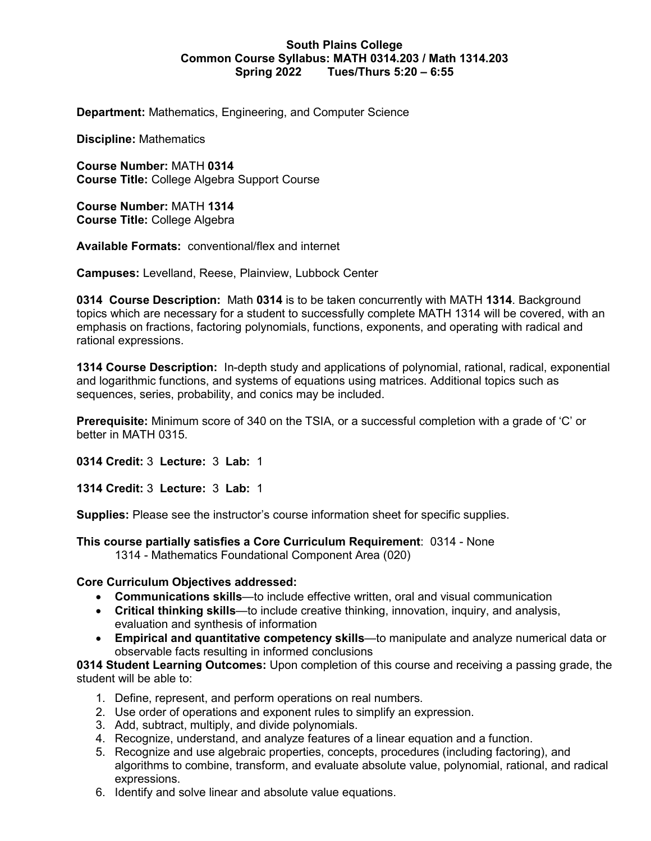### **South Plains College Common Course Syllabus: MATH 0314.203 / Math 1314.203 Spring 2022 Tues/Thurs 5:20 – 6:55**

**Department:** Mathematics, Engineering, and Computer Science

**Discipline:** Mathematics

**Course Number:** MATH **0314 Course Title:** College Algebra Support Course

**Course Number:** MATH **1314 Course Title:** College Algebra

**Available Formats:** conventional/flex and internet

**Campuses:** Levelland, Reese, Plainview, Lubbock Center

**0314 Course Description:** Math **0314** is to be taken concurrently with MATH **1314**. Background topics which are necessary for a student to successfully complete MATH 1314 will be covered, with an emphasis on fractions, factoring polynomials, functions, exponents, and operating with radical and rational expressions.

**1314 Course Description:** In-depth study and applications of polynomial, rational, radical, exponential and logarithmic functions, and systems of equations using matrices. Additional topics such as sequences, series, probability, and conics may be included.

**Prerequisite:** Minimum score of 340 on the TSIA, or a successful completion with a grade of 'C' or better in MATH 0315.

**0314 Credit:** 3 **Lecture:** 3 **Lab:** 1

**1314 Credit:** 3 **Lecture:** 3 **Lab:** 1

**Supplies:** Please see the instructor's course information sheet for specific supplies.

**This course partially satisfies a Core Curriculum Requirement**: 0314 - None

1314 - Mathematics Foundational Component Area (020)

#### **Core Curriculum Objectives addressed:**

- **Communications skills**—to include effective written, oral and visual communication
- **Critical thinking skills**—to include creative thinking, innovation, inquiry, and analysis, evaluation and synthesis of information
- **Empirical and quantitative competency skills**—to manipulate and analyze numerical data or observable facts resulting in informed conclusions

**0314 Student Learning Outcomes:** Upon completion of this course and receiving a passing grade, the student will be able to:

- 1. Define, represent, and perform operations on real numbers.
- 2. Use order of operations and exponent rules to simplify an expression.
- 3. Add, subtract, multiply, and divide polynomials.
- 4. Recognize, understand, and analyze features of a linear equation and a function.
- 5. Recognize and use algebraic properties, concepts, procedures (including factoring), and algorithms to combine, transform, and evaluate absolute value, polynomial, rational, and radical expressions.
- 6. Identify and solve linear and absolute value equations.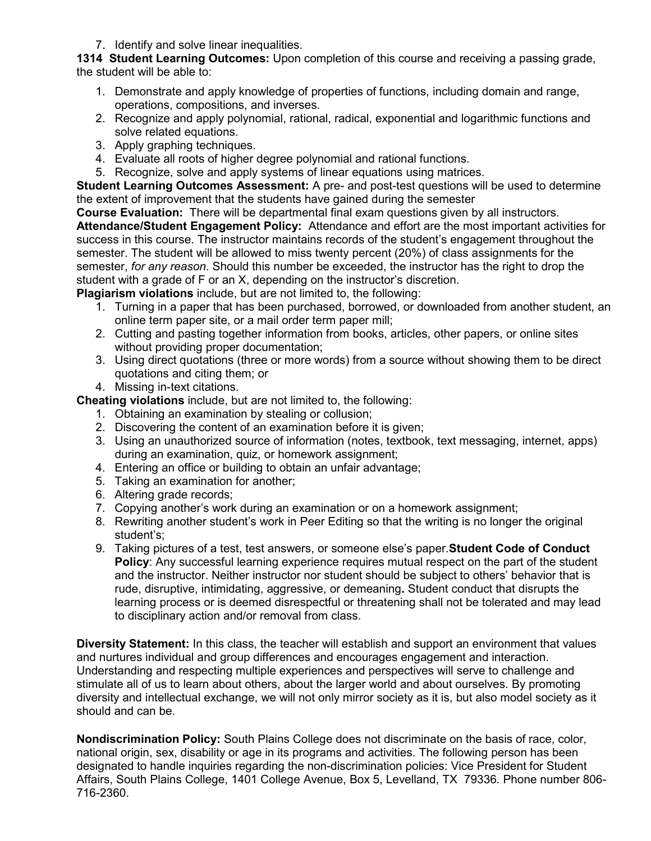7. Identify and solve linear inequalities.

**1314 Student Learning Outcomes:** Upon completion of this course and receiving a passing grade, the student will be able to:

- 1. Demonstrate and apply knowledge of properties of functions, including domain and range, operations, compositions, and inverses.
- 2. Recognize and apply polynomial, rational, radical, exponential and logarithmic functions and solve related equations.
- 3. Apply graphing techniques.
- 4. Evaluate all roots of higher degree polynomial and rational functions.
- 5. Recognize, solve and apply systems of linear equations using matrices.

**Student Learning Outcomes Assessment:** A pre- and post-test questions will be used to determine the extent of improvement that the students have gained during the semester

**Course Evaluation:** There will be departmental final exam questions given by all instructors.

**Attendance/Student Engagement Policy:** Attendance and effort are the most important activities for success in this course. The instructor maintains records of the student's engagement throughout the semester. The student will be allowed to miss twenty percent (20%) of class assignments for the semester, *for any reason*. Should this number be exceeded, the instructor has the right to drop the student with a grade of F or an X, depending on the instructor's discretion.

**Plagiarism violations** include, but are not limited to, the following:

- 1. Turning in a paper that has been purchased, borrowed, or downloaded from another student, an online term paper site, or a mail order term paper mill;
- 2. Cutting and pasting together information from books, articles, other papers, or online sites without providing proper documentation;
- 3. Using direct quotations (three or more words) from a source without showing them to be direct quotations and citing them; or
- 4. Missing in-text citations.

**Cheating violations** include, but are not limited to, the following:

- 1. Obtaining an examination by stealing or collusion;
- 2. Discovering the content of an examination before it is given;
- 3. Using an unauthorized source of information (notes, textbook, text messaging, internet, apps) during an examination, quiz, or homework assignment;
- 4. Entering an office or building to obtain an unfair advantage;
- 5. Taking an examination for another;
- 6. Altering grade records;
- 7. Copying another's work during an examination or on a homework assignment;
- 8. Rewriting another student's work in Peer Editing so that the writing is no longer the original student's;
- 9. Taking pictures of a test, test answers, or someone else's paper.**Student Code of Conduct Policy**: Any successful learning experience requires mutual respect on the part of the student and the instructor. Neither instructor nor student should be subject to others' behavior that is rude, disruptive, intimidating, aggressive, or demeaning**.** Student conduct that disrupts the learning process or is deemed disrespectful or threatening shall not be tolerated and may lead to disciplinary action and/or removal from class.

**Diversity Statement:** In this class, the teacher will establish and support an environment that values and nurtures individual and group differences and encourages engagement and interaction. Understanding and respecting multiple experiences and perspectives will serve to challenge and stimulate all of us to learn about others, about the larger world and about ourselves. By promoting diversity and intellectual exchange, we will not only mirror society as it is, but also model society as it should and can be.

**Nondiscrimination Policy:** South Plains College does not discriminate on the basis of race, color, national origin, sex, disability or age in its programs and activities. The following person has been designated to handle inquiries regarding the non-discrimination policies: Vice President for Student Affairs, South Plains College, 1401 College Avenue, Box 5, Levelland, TX 79336. Phone number 806- 716-2360.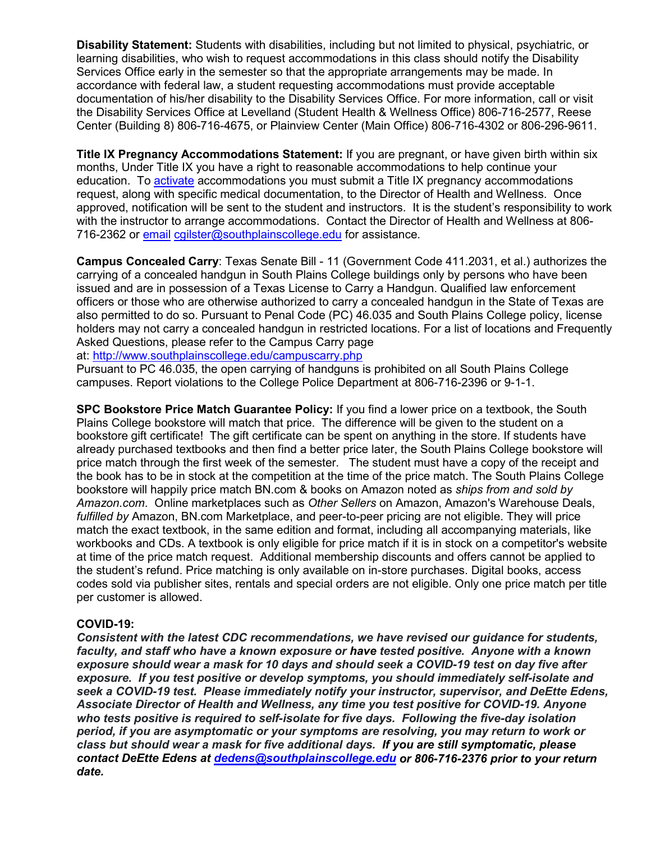**Disability Statement:** Students with disabilities, including but not limited to physical, psychiatric, or learning disabilities, who wish to request accommodations in this class should notify the Disability Services Office early in the semester so that the appropriate arrangements may be made. In accordance with federal law, a student requesting accommodations must provide acceptable documentation of his/her disability to the Disability Services Office. For more information, call or visit the Disability Services Office at Levelland (Student Health & Wellness Office) 806-716-2577, Reese Center (Building 8) 806-716-4675, or Plainview Center (Main Office) 806-716-4302 or 806-296-9611.

**Title IX Pregnancy Accommodations Statement:** If you are pregnant, or have given birth within six months, Under Title IX you have a right to reasonable accommodations to help continue your education. To **[activate](http://www.southplainscollege.edu/employees/manualshandbooks/facultyhandbook/sec4.php)** accommodations you must submit a Title IX pregnancy accommodations request, along with specific medical documentation, to the Director of Health and Wellness. Once approved, notification will be sent to the student and instructors. It is the student's responsibility to work with the instructor to arrange accommodations. Contact the Director of Health and Wellness at 806- 716-2362 or [email](http://www.southplainscollege.edu/employees/manualshandbooks/facultyhandbook/sec4.php) [cgilster@southplainscollege.edu](mailto:cgilster@southplainscollege.edu) for assistance.

**Campus Concealed Carry**: Texas Senate Bill - 11 (Government Code 411.2031, et al.) authorizes the carrying of a concealed handgun in South Plains College buildings only by persons who have been issued and are in possession of a Texas License to Carry a Handgun. Qualified law enforcement officers or those who are otherwise authorized to carry a concealed handgun in the State of Texas are also permitted to do so. Pursuant to Penal Code (PC) 46.035 and South Plains College policy, license holders may not carry a concealed handgun in restricted locations. For a list of locations and Frequently Asked Questions, please refer to the Campus Carry page

at: <http://www.southplainscollege.edu/campuscarry.php>

Pursuant to PC 46.035, the open carrying of handguns is prohibited on all South Plains College campuses. Report violations to the College Police Department at 806-716-2396 or 9-1-1.

**SPC Bookstore Price Match Guarantee Policy:** If you find a lower price on a textbook, the South Plains College bookstore will match that price. The difference will be given to the student on a bookstore gift certificate! The gift certificate can be spent on anything in the store. If students have already purchased textbooks and then find a better price later, the South Plains College bookstore will price match through the first week of the semester. The student must have a copy of the receipt and the book has to be in stock at the competition at the time of the price match. The South Plains College bookstore will happily price match BN.com & books on Amazon noted as *ships from and sold by Amazon.com*. Online marketplaces such as *Other Sellers* on Amazon, Amazon's Warehouse Deals, *fulfilled by* Amazon, BN.com Marketplace, and peer-to-peer pricing are not eligible. They will price match the exact textbook, in the same edition and format, including all accompanying materials, like workbooks and CDs. A textbook is only eligible for price match if it is in stock on a competitor's website at time of the price match request. Additional membership discounts and offers cannot be applied to the student's refund. Price matching is only available on in-store purchases. Digital books, access codes sold via publisher sites, rentals and special orders are not eligible. Only one price match per title per customer is allowed.

# **COVID-19:**

*Consistent with the latest CDC recommendations, we have revised our guidance for students, faculty, and staff who have a known exposure or have tested positive. Anyone with a known exposure should wear a mask for 10 days and should seek a COVID-19 test on day five after exposure. If you test positive or develop symptoms, you should immediately self-isolate and seek a COVID-19 test. Please immediately notify your instructor, supervisor, and DeEtte Edens, Associate Director of Health and Wellness, any time you test positive for COVID-19. Anyone who tests positive is required to self-isolate for five days. Following the five-day isolation period, if you are asymptomatic or your symptoms are resolving, you may return to work or class but should wear a mask for five additional days. If you are still symptomatic, please contact DeEtte Edens at [dedens@southplainscollege.edu](mailto:dedens@southplainscollege.edu) or 806-716-2376 prior to your return date.*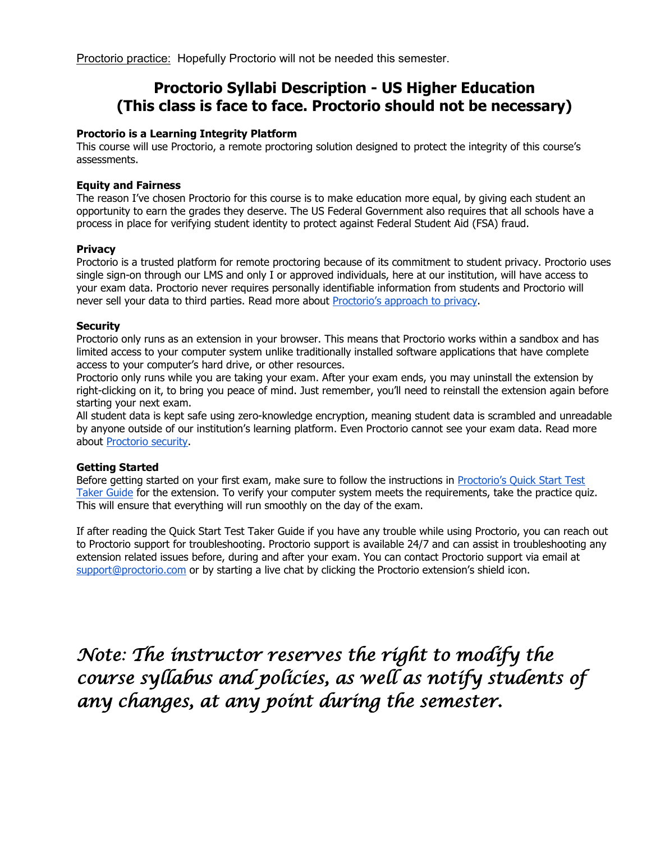Proctorio practice: Hopefully Proctorio will not be needed this semester.

# **Proctorio Syllabi Description - US Higher Education (This class is face to face. Proctorio should not be necessary)**

#### **Proctorio is a Learning Integrity Platform**

This course will use Proctorio, a remote proctoring solution designed to protect the integrity of this course's assessments.

#### **Equity and Fairness**

The reason I've chosen Proctorio for this course is to make education more equal, by giving each student an opportunity to earn the grades they deserve. The US Federal Government also requires that all schools have a process in place for verifying student identity to protect against Federal Student Aid (FSA) fraud.

#### **Privacy**

Proctorio is a trusted platform for remote proctoring because of its commitment to student privacy. Proctorio uses single sign-on through our LMS and only I or approved individuals, here at our institution, will have access to your exam data. Proctorio never requires personally identifiable information from students and Proctorio will never sell your data to third parties. Read more about [Proctorio's approach to privacy.](https://proctorio.com/about/personal-data-protections)

#### **Security**

Proctorio only runs as an extension in your browser. This means that Proctorio works within a sandbox and has limited access to your computer system unlike traditionally installed software applications that have complete access to your computer's hard drive, or other resources.

Proctorio only runs while you are taking your exam. After your exam ends, you may uninstall the extension by right-clicking on it, to bring you peace of mind. Just remember, you'll need to reinstall the extension again before starting your next exam.

All student data is kept safe using zero-knowledge encryption, meaning student data is scrambled and unreadable by anyone outside of our institution's learning platform. Even Proctorio cannot see your exam data. Read more about [Proctorio security.](https://proctorio.com/about/personal-data-protections)

#### **Getting Started**

Before getting started on your first exam, make sure to follow the instructions in [Proctorio's Quick Start Test](https://cdn.proctorio.com/guides/generic/test-taker/getting-started.pdf)  [Taker Guide](https://cdn.proctorio.com/guides/generic/test-taker/getting-started.pdf) for the extension. To verify your computer system meets the requirements, take the practice quiz. This will ensure that everything will run smoothly on the day of the exam.

If after reading the Quick Start Test Taker Guide if you have any trouble while using Proctorio, you can reach out to Proctorio support for troubleshooting. Proctorio support is available 24/7 and can assist in troubleshooting any extension related issues before, during and after your exam. You can contact Proctorio support via email at [support@proctorio.com](mailto:support@proctorio.com) or by starting a live chat by clicking the Proctorio extension's shield icon.

*Note: The instructor reserves the right to modify the course syllabus and policies, as well as notify students of any changes, at any point during the semester.*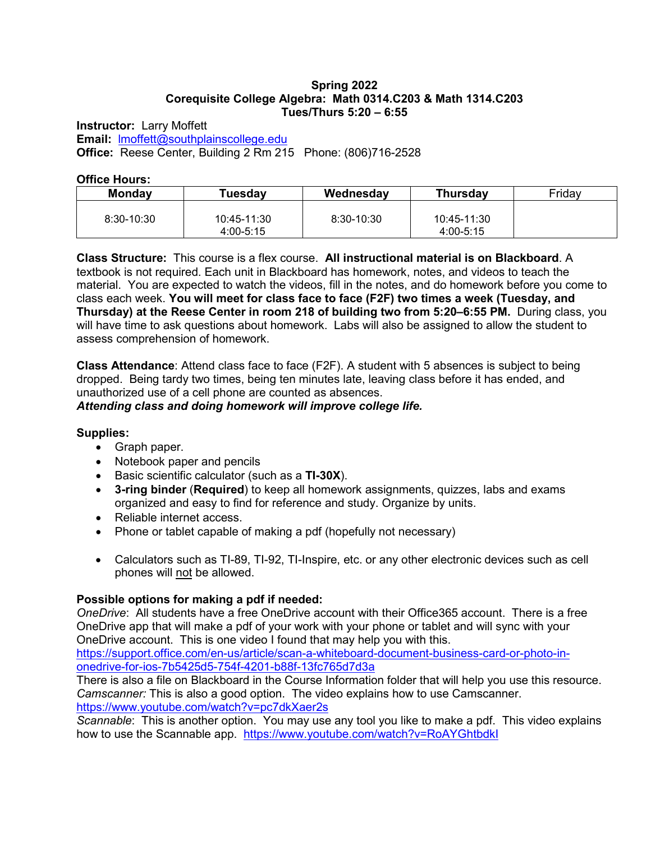#### **Spring 2022 Corequisite College Algebra: Math 0314.C203 & Math 1314.C203 Tues/Thurs 5:20 – 6:55**

**Instructor:** Larry Moffett **Email:** [lmoffett@southplainscollege.edu](mailto:lmoffett@southplainscollege.edu) **Office:** Reese Center, Building 2 Rm 215 Phone: (806)716-2528

#### **Office Hours:**

| <b>Monday</b>  | Tuesday                      | Wednesday      | <b>Thursday</b>          | Friday |
|----------------|------------------------------|----------------|--------------------------|--------|
| $8:30 - 10:30$ | 10:45-11:30<br>$4:00 - 5:15$ | $8:30 - 10:30$ | 10:45-11:30<br>4:00-5:15 |        |

**Class Structure:** This course is a flex course. **All instructional material is on Blackboard**. A textbook is not required. Each unit in Blackboard has homework, notes, and videos to teach the material. You are expected to watch the videos, fill in the notes, and do homework before you come to class each week. **You will meet for class face to face (F2F) two times a week (Tuesday, and Thursday) at the Reese Center in room 218 of building two from 5:20–6:55 PM.** During class, you will have time to ask questions about homework. Labs will also be assigned to allow the student to assess comprehension of homework.

**Class Attendance**: Attend class face to face (F2F). A student with 5 absences is subject to being dropped. Being tardy two times, being ten minutes late, leaving class before it has ended, and unauthorized use of a cell phone are counted as absences.

*Attending class and doing homework will improve college life.*

# **Supplies:**

- Graph paper.
- Notebook paper and pencils
- Basic scientific calculator (such as a **TI-30X**).
- **3-ring binder** (**Required**) to keep all homework assignments, quizzes, labs and exams organized and easy to find for reference and study. Organize by units.
- Reliable internet access.
- Phone or tablet capable of making a pdf (hopefully not necessary)
- Calculators such as TI-89, TI-92, TI-Inspire, etc. or any other electronic devices such as cell phones will not be allowed.

# **Possible options for making a pdf if needed:**

*OneDrive*: All students have a free OneDrive account with their Office365 account. There is a free OneDrive app that will make a pdf of your work with your phone or tablet and will sync with your OneDrive account. This is one video I found that may help you with this.

[https://support.office.com/en-us/article/scan-a-whiteboard-document-business-card-or-photo-in](https://support.office.com/en-us/article/scan-a-whiteboard-document-business-card-or-photo-in-onedrive-for-ios-7b5425d5-754f-4201-b88f-13fc765d7d3a)[onedrive-for-ios-7b5425d5-754f-4201-b88f-13fc765d7d3a](https://support.office.com/en-us/article/scan-a-whiteboard-document-business-card-or-photo-in-onedrive-for-ios-7b5425d5-754f-4201-b88f-13fc765d7d3a)

There is also a file on Blackboard in the Course Information folder that will help you use this resource. *Camscanner:* This is also a good option. The video explains how to use Camscanner. <https://www.youtube.com/watch?v=pc7dkXaer2s>

*Scannable*: This is another option. You may use any tool you like to make a pdf. This video explains how to use the Scannable app. <https://www.youtube.com/watch?v=RoAYGhtbdkI>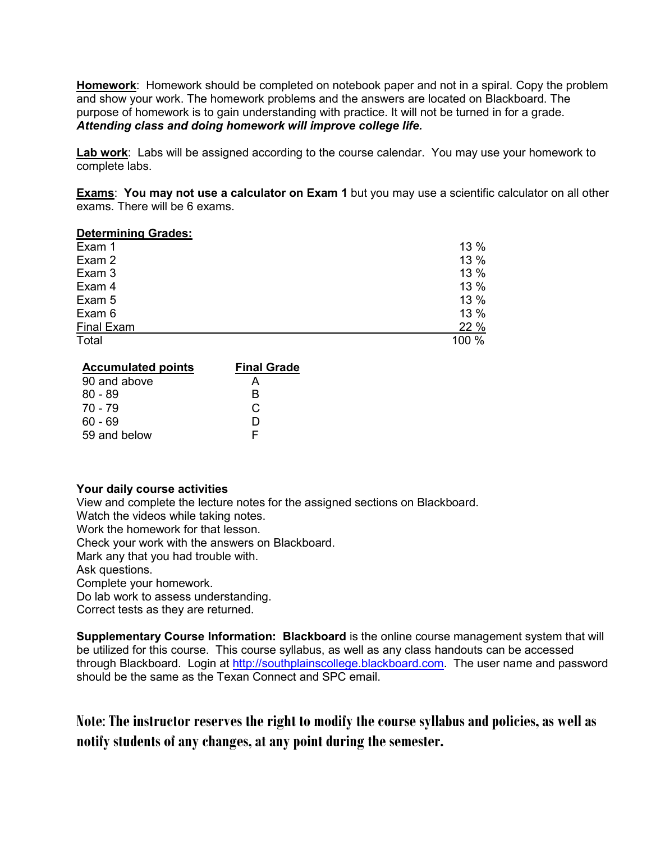**Homework**: Homework should be completed on notebook paper and not in a spiral. Copy the problem and show your work. The homework problems and the answers are located on Blackboard. The purpose of homework is to gain understanding with practice. It will not be turned in for a grade. *Attending class and doing homework will improve college life.*

**Lab work**: Labs will be assigned according to the course calendar. You may use your homework to complete labs.

**Exams**: **You may not use a calculator on Exam 1** but you may use a scientific calculator on all other exams. There will be 6 exams.

#### **Determining Grades:**

| Exam 1     | 13 %  |
|------------|-------|
| Exam 2     | 13 %  |
| Exam 3     | 13 %  |
| Exam 4     | 13 %  |
| Exam 5     | 13 %  |
| Exam 6     | 13 %  |
| Final Exam | 22 %  |
| Total      | 100 % |

| <b>Accumulated points</b> | <b>Final Grade</b> |
|---------------------------|--------------------|
| 90 and above              |                    |
| $80 - 89$                 | R                  |
| 70 - 79                   | C                  |
| $60 - 69$                 | ו ו                |
| 59 and below              | E                  |

#### **Your daily course activities**

View and complete the lecture notes for the assigned sections on Blackboard.

Watch the videos while taking notes.

Work the homework for that lesson.

Check your work with the answers on Blackboard.

Mark any that you had trouble with.

Ask questions.

Complete your homework.

Do lab work to assess understanding.

Correct tests as they are returned.

**Supplementary Course Information: Blackboard** is the online course management system that will be utilized for this course. This course syllabus, as well as any class handouts can be accessed through Blackboard. Login at [http://southplainscollege.blackboard.com.](http://southplainscollege.blackboard.com/) The user name and password should be the same as the Texan Connect and SPC email.

**Note**: **The instructor reserves the right to modify the course syllabus and policies, as well as notify students of any changes, at any point during the semester.**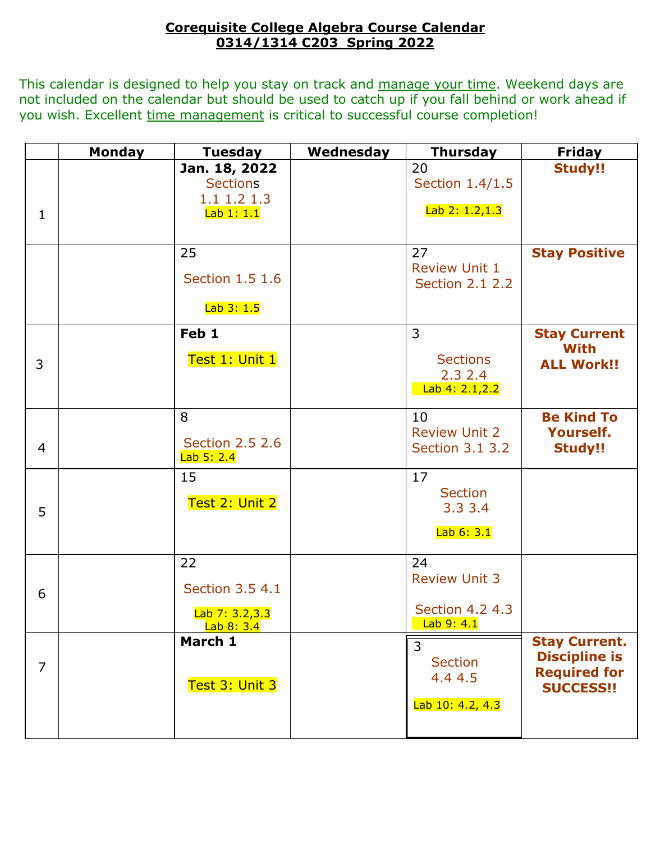# **Corequisite College Algebra Course Calendar 0314/1314 C203 Spring 2022**

This calendar is designed to help you stay on track and manage your time. Weekend days are not included on the calendar but should be used to catch up if you fall behind or work ahead if you wish. Excellent time management is critical to successful course completion!

|                | <b>Monday</b> | <b>Tuesday</b>         | Wednesday | <b>Thursday</b>        | <b>Friday</b>        |
|----------------|---------------|------------------------|-----------|------------------------|----------------------|
|                |               | Jan. 18, 2022          |           | 20                     | <b>Study!!</b>       |
|                |               | <b>Sections</b>        |           | Section 1.4/1.5        |                      |
|                |               | 1.1 1.2 1.3            |           |                        |                      |
| $\mathbf{1}$   |               | Lab 1: 1.1             |           | Lab 2: 1.2,1.3         |                      |
|                |               |                        |           |                        |                      |
|                |               | 25                     |           | 27                     | <b>Stay Positive</b> |
|                |               |                        |           | <b>Review Unit 1</b>   |                      |
|                |               | Section 1.5 1.6        |           | <b>Section 2.1 2.2</b> |                      |
|                |               | Lab 3: 1.5             |           |                        |                      |
|                |               |                        |           |                        |                      |
|                |               | Feb 1                  |           | $\overline{3}$         | <b>Stay Current</b>  |
|                |               | Test 1: Unit 1         |           | <b>Sections</b>        | <b>With</b>          |
| 3              |               |                        |           | 2.32.4                 | <b>ALL Work!!</b>    |
|                |               |                        |           | Lab 4: 2.1, 2.2        |                      |
|                |               |                        |           |                        |                      |
|                |               | 8                      |           | 10                     | <b>Be Kind To</b>    |
|                |               | <b>Section 2.5 2.6</b> |           | <b>Review Unit 2</b>   | <b>Yourself.</b>     |
| $\overline{4}$ |               | Lab 5: 2.4             |           | Section 3.1 3.2        | <b>Study!!</b>       |
|                |               | 15                     |           | 17                     |                      |
|                |               |                        |           | <b>Section</b>         |                      |
| 5              |               | Test 2: Unit 2         |           | 3.33.4                 |                      |
|                |               |                        |           |                        |                      |
|                |               |                        |           | Lab 6: 3.1             |                      |
|                |               | 22                     |           | 24                     |                      |
|                |               |                        |           | <b>Review Unit 3</b>   |                      |
| 6              |               | Section 3.5 4.1        |           |                        |                      |
|                |               | Lab 7: 3.2,3.3         |           | Section 4.2 4.3        |                      |
|                |               | Lab 8: 3.4             |           | Lab9:4.1               |                      |
|                |               | March 1                |           | 3                      | <b>Stay Current.</b> |
| $\overline{7}$ |               |                        |           | <b>Section</b>         | <b>Discipline is</b> |
|                |               |                        |           | 4.4 4.5                | <b>Required for</b>  |
|                |               | Test 3: Unit 3         |           |                        | <b>SUCCESS!!</b>     |
|                |               |                        |           | Lab 10: 4.2, 4.3       |                      |
|                |               |                        |           |                        |                      |
|                |               |                        |           |                        |                      |